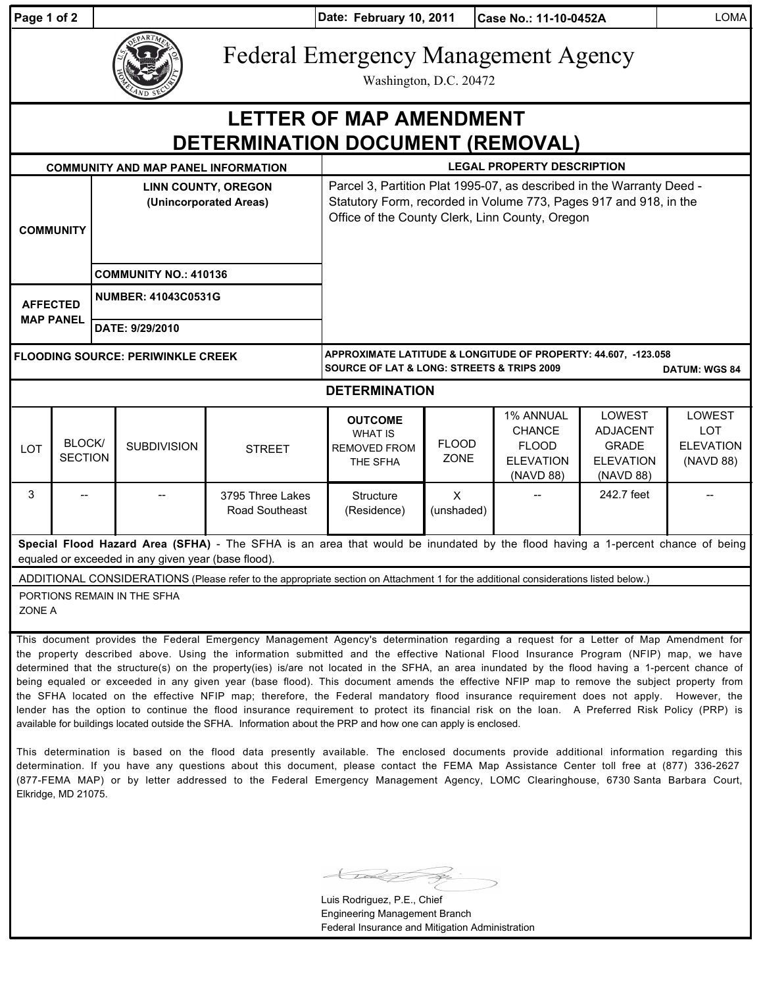| Page 1 of 2                                                                                                                                                                           |                                                                                                                                                                                                                                                                                                                                                                                                                                                                                                                                                                                |                                                      | <b>LOMA</b><br>Date: February 10, 2011<br>Case No.: 11-10-0452A |                                           |                                                                                                                                                                                               |                                   |                                                                             |                                                                            |                                                       |  |
|---------------------------------------------------------------------------------------------------------------------------------------------------------------------------------------|--------------------------------------------------------------------------------------------------------------------------------------------------------------------------------------------------------------------------------------------------------------------------------------------------------------------------------------------------------------------------------------------------------------------------------------------------------------------------------------------------------------------------------------------------------------------------------|------------------------------------------------------|-----------------------------------------------------------------|-------------------------------------------|-----------------------------------------------------------------------------------------------------------------------------------------------------------------------------------------------|-----------------------------------|-----------------------------------------------------------------------------|----------------------------------------------------------------------------|-------------------------------------------------------|--|
|                                                                                                                                                                                       |                                                                                                                                                                                                                                                                                                                                                                                                                                                                                                                                                                                |                                                      |                                                                 |                                           | <b>Federal Emergency Management Agency</b><br>Washington, D.C. 20472                                                                                                                          |                                   |                                                                             |                                                                            |                                                       |  |
| <b>LETTER OF MAP AMENDMENT</b><br>DETERMINATION DOCUMENT (REMOVAL)                                                                                                                    |                                                                                                                                                                                                                                                                                                                                                                                                                                                                                                                                                                                |                                                      |                                                                 |                                           |                                                                                                                                                                                               |                                   |                                                                             |                                                                            |                                                       |  |
|                                                                                                                                                                                       |                                                                                                                                                                                                                                                                                                                                                                                                                                                                                                                                                                                |                                                      | <b>COMMUNITY AND MAP PANEL INFORMATION</b>                      |                                           |                                                                                                                                                                                               | <b>LEGAL PROPERTY DESCRIPTION</b> |                                                                             |                                                                            |                                                       |  |
| <b>COMMUNITY</b>                                                                                                                                                                      |                                                                                                                                                                                                                                                                                                                                                                                                                                                                                                                                                                                | <b>LINN COUNTY, OREGON</b><br>(Unincorporated Areas) |                                                                 |                                           | Parcel 3, Partition Plat 1995-07, as described in the Warranty Deed -<br>Statutory Form, recorded in Volume 773, Pages 917 and 918, in the<br>Office of the County Clerk, Linn County, Oregon |                                   |                                                                             |                                                                            |                                                       |  |
|                                                                                                                                                                                       |                                                                                                                                                                                                                                                                                                                                                                                                                                                                                                                                                                                | <b>COMMUNITY NO.: 410136</b>                         |                                                                 |                                           |                                                                                                                                                                                               |                                   |                                                                             |                                                                            |                                                       |  |
| <b>AFFECTED</b><br><b>MAP PANEL</b>                                                                                                                                                   |                                                                                                                                                                                                                                                                                                                                                                                                                                                                                                                                                                                | <b>NUMBER: 41043C0531G</b>                           |                                                                 |                                           |                                                                                                                                                                                               |                                   |                                                                             |                                                                            |                                                       |  |
|                                                                                                                                                                                       |                                                                                                                                                                                                                                                                                                                                                                                                                                                                                                                                                                                | DATE: 9/29/2010                                      |                                                                 |                                           |                                                                                                                                                                                               |                                   |                                                                             |                                                                            |                                                       |  |
| <b>FLOODING SOURCE: PERIWINKLE CREEK</b>                                                                                                                                              |                                                                                                                                                                                                                                                                                                                                                                                                                                                                                                                                                                                |                                                      |                                                                 |                                           | APPROXIMATE LATITUDE & LONGITUDE OF PROPERTY: 44.607, -123.058<br><b>SOURCE OF LAT &amp; LONG: STREETS &amp; TRIPS 2009</b><br><b>DATUM: WGS 84</b>                                           |                                   |                                                                             |                                                                            |                                                       |  |
| <b>DETERMINATION</b>                                                                                                                                                                  |                                                                                                                                                                                                                                                                                                                                                                                                                                                                                                                                                                                |                                                      |                                                                 |                                           |                                                                                                                                                                                               |                                   |                                                                             |                                                                            |                                                       |  |
| LOT                                                                                                                                                                                   | BLOCK/<br><b>SECTION</b>                                                                                                                                                                                                                                                                                                                                                                                                                                                                                                                                                       |                                                      | <b>SUBDIVISION</b>                                              | <b>STREET</b>                             | <b>OUTCOME</b><br><b>WHAT IS</b><br><b>REMOVED FROM</b><br>THE SFHA                                                                                                                           | <b>FLOOD</b><br><b>ZONE</b>       | 1% ANNUAL<br><b>CHANCE</b><br><b>FLOOD</b><br><b>ELEVATION</b><br>(NAVD 88) | LOWEST<br><b>ADJACENT</b><br><b>GRADE</b><br><b>ELEVATION</b><br>(NAVD 88) | LOWEST<br><b>LOT</b><br><b>ELEVATION</b><br>(NAVD 88) |  |
| 3                                                                                                                                                                                     |                                                                                                                                                                                                                                                                                                                                                                                                                                                                                                                                                                                |                                                      |                                                                 | 3795 Three Lakes<br><b>Road Southeast</b> | Structure<br>(Residence)                                                                                                                                                                      | $\sf X$<br>(unshaded)             |                                                                             | 242.7 feet                                                                 |                                                       |  |
| Special Flood Hazard Area (SFHA) - The SFHA is an area that would be inundated by the flood having a 1-percent chance of being<br>equaled or exceeded in any given year (base flood). |                                                                                                                                                                                                                                                                                                                                                                                                                                                                                                                                                                                |                                                      |                                                                 |                                           |                                                                                                                                                                                               |                                   |                                                                             |                                                                            |                                                       |  |
| ADDITIONAL CONSIDERATIONS (Please refer to the appropriate section on Attachment 1 for the additional considerations listed below.)                                                   |                                                                                                                                                                                                                                                                                                                                                                                                                                                                                                                                                                                |                                                      |                                                                 |                                           |                                                                                                                                                                                               |                                   |                                                                             |                                                                            |                                                       |  |
| PORTIONS REMAIN IN THE SFHA<br>ZONE A                                                                                                                                                 |                                                                                                                                                                                                                                                                                                                                                                                                                                                                                                                                                                                |                                                      |                                                                 |                                           |                                                                                                                                                                                               |                                   |                                                                             |                                                                            |                                                       |  |
|                                                                                                                                                                                       | This document provides the Federal Emergency Management Agency's determination regarding a request for a Letter of Map Amendment for<br>the property described above. Using the information submitted and the effective National Flood Insurance Program (NFIP) map, we have<br>determined that the structure(s) on the property(ies) is/are not located in the SFHA, an area inundated by the flood having a 1-percent chance of<br>being equaled or exceeded in any given year (base flood). This document amends the effective NFIP map to remove the subject property from |                                                      |                                                                 |                                           |                                                                                                                                                                                               |                                   |                                                                             |                                                                            |                                                       |  |

being equaled or exceeded in any given year (base flood). This document amends the effective NFIP map to remove the subject property from the SFHA located on the effective NFIP map; therefore, the Federal mandatory flood insurance requirement does not apply. However, the lender has the option to continue the flood insurance requirement to protect its financial risk on the loan. A Preferred Risk Policy (PRP) is available for buildings located outside the SFHA. Information about the PRP and how one can apply is enclosed.

This determination is based on the flood data presently available. The enclosed documents provide additional information regarding this determination. If you have any questions about this document, please contact the FEMA Map Assistance Center toll free at (877) 336-2627 (877-FEMA MAP) or by letter addressed to the Federal Emergency Management Agency, LOMC Clearinghouse, 6730 Santa Barbara Court, Elkridge, MD 21075.

Luis Rodriguez, P.E., Chief Engineering Management Branch Federal Insurance and Mitigation Administration